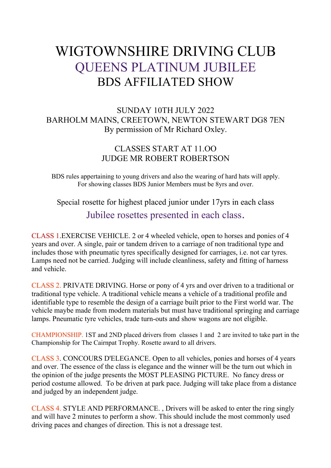# WIGTOWNSHIRE DRIVING CLUB QUEENS PLATINUM JUBILEE BDS AFFILIATED SHOW

## SUNDAY 10TH JULY 2022 BARHOLM MAINS, CREETOWN, NEWTON STEWART DG8 7EN By permission of Mr Richard Oxley.

## CLASSES START AT 11.OO JUDGE MR ROBERT ROBERTSON

BDS rules appertaining to young drivers and also the wearing of hard hats will apply. For showing classes BDS Junior Members must be 8yrs and over.

Special rosette for highest placed junior under 17yrs in each class Jubilee rosettes presented in each class.

CLASS 1.EXERCISE VEHICLE. 2 or 4 wheeled vehicle, open to horses and ponies of 4 years and over. A single, pair or tandem driven to a carriage of non traditional type and includes those with pneumatic tyres specifically designed for carriages, i.e. not car tyres. Lamps need not be carried. Judging will include cleanliness, safety and fitting of harness and vehicle.

CLASS 2. PRIVATE DRIVING. Horse or pony of 4 yrs and over driven to a traditional or traditional type vehicle. A traditional vehicle means a vehicle of a traditional profile and identifiable type to resemble the design of a carriage built prior to the First world war. The vehicle maybe made from modern materials but must have traditional springing and carriage lamps. Pneumatic tyre vehicles, trade turn-outs and show wagons are not eligible.

CHAMPIONSHIP. 1ST and 2ND placed drivers from classes 1 and 2 are invited to take part in the Championship for The Cairnpat Trophy. Rosette award to all drivers.

CLASS 3. CONCOURS D'ELEGANCE. Open to all vehicles, ponies and horses of 4 years and over. The essence of the class is elegance and the winner will be the turn out which in the opinion of the judge presents the MOST PLEASING PICTURE. No fancy dress or period costume allowed. To be driven at park pace. Judging will take place from a distance and judged by an independent judge.

CLASS 4. STYLE AND PERFORMANCE. , Drivers will be asked to enter the ring singly and will have 2 minutes to perform a show. This should include the most commonly used driving paces and changes of direction. This is not a dressage test.